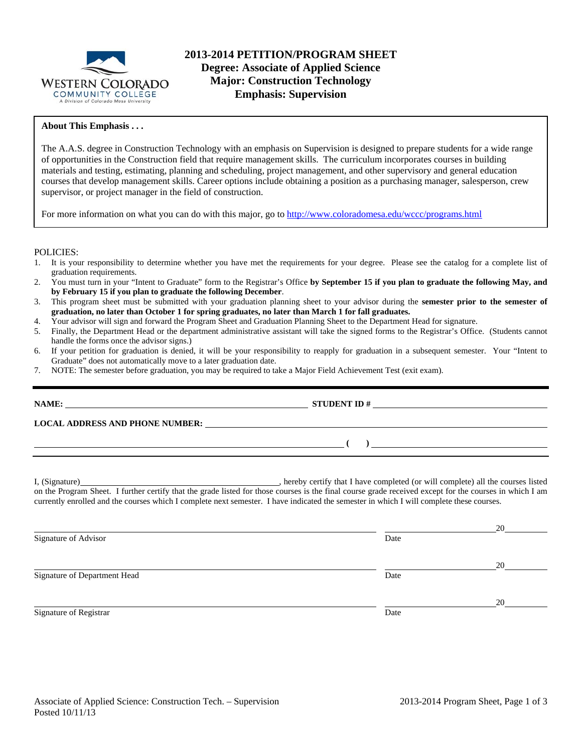

### **About This Emphasis . . .**

The A.A.S. degree in Construction Technology with an emphasis on Supervision is designed to prepare students for a wide range of opportunities in the Construction field that require management skills. The curriculum incorporates courses in building materials and testing, estimating, planning and scheduling, project management, and other supervisory and general education courses that develop management skills. Career options include obtaining a position as a purchasing manager, salesperson, crew supervisor, or project manager in the field of construction.

For more information on what you can do with this major, go to http://www.coloradomesa.edu/wccc/programs.html

#### POLICIES:

- 1. It is your responsibility to determine whether you have met the requirements for your degree. Please see the catalog for a complete list of graduation requirements.
- 2. You must turn in your "Intent to Graduate" form to the Registrar's Office **by September 15 if you plan to graduate the following May, and by February 15 if you plan to graduate the following December**.
- 3. This program sheet must be submitted with your graduation planning sheet to your advisor during the **semester prior to the semester of graduation, no later than October 1 for spring graduates, no later than March 1 for fall graduates.**
- 4. Your advisor will sign and forward the Program Sheet and Graduation Planning Sheet to the Department Head for signature.
- 5. Finally, the Department Head or the department administrative assistant will take the signed forms to the Registrar's Office. (Students cannot handle the forms once the advisor signs.)
- 6. If your petition for graduation is denied, it will be your responsibility to reapply for graduation in a subsequent semester. Your "Intent to Graduate" does not automatically move to a later graduation date.
- 7. NOTE: The semester before graduation, you may be required to take a Major Field Achievement Test (exit exam).

| <b>NAME:</b>                           | <b>STUDENT ID#</b> |
|----------------------------------------|--------------------|
| <b>LOCAL ADDRESS AND PHONE NUMBER:</b> |                    |
|                                        |                    |

I, (Signature) , hereby certify that I have completed (or will complete) all the courses listed on the Program Sheet. I further certify that the grade listed for those courses is the final course grade received except for the courses in which I am currently enrolled and the courses which I complete next semester. I have indicated the semester in which I will complete these courses.

|                              |      | 20 |
|------------------------------|------|----|
| Signature of Advisor         | Date |    |
|                              |      | 20 |
| Signature of Department Head | Date |    |
|                              |      | 20 |
| Signature of Registrar       | Date |    |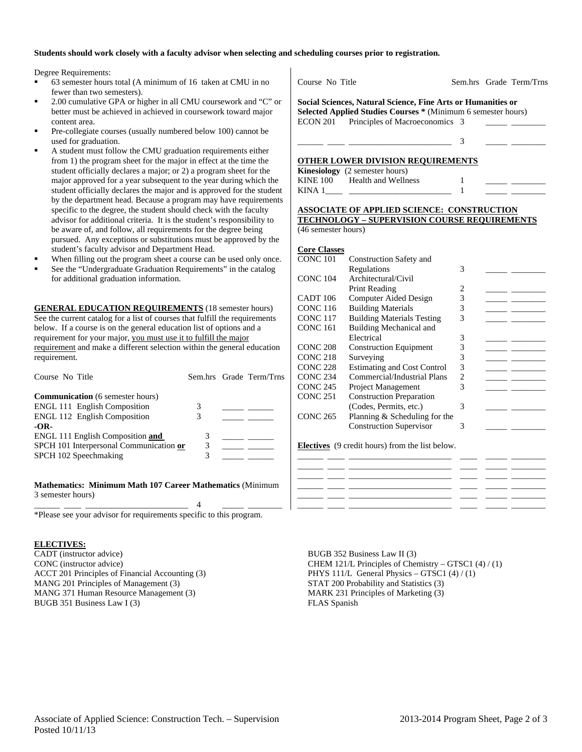#### **Students should work closely with a faculty advisor when selecting and scheduling courses prior to registration.**

Degree Requirements:

- 63 semester hours total (A minimum of 16 taken at CMU in no fewer than two semesters).
- 2.00 cumulative GPA or higher in all CMU coursework and "C" or better must be achieved in achieved in coursework toward major content area.
- Pre-collegiate courses (usually numbered below 100) cannot be used for graduation.
- A student must follow the CMU graduation requirements either from 1) the program sheet for the major in effect at the time the student officially declares a major; or 2) a program sheet for the major approved for a year subsequent to the year during which the student officially declares the major and is approved for the student by the department head. Because a program may have requirements specific to the degree, the student should check with the faculty advisor for additional criteria. It is the student's responsibility to be aware of, and follow, all requirements for the degree being pursued. Any exceptions or substitutions must be approved by the student's faculty advisor and Department Head.
- When filling out the program sheet a course can be used only once.
- See the "Undergraduate Graduation Requirements" in the catalog for additional graduation information.

**GENERAL EDUCATION REQUIREMENTS** (18 semester hours) See the current catalog for a list of courses that fulfill the requirements below. If a course is on the general education list of options and a requirement for your major, you must use it to fulfill the major requirement and make a different selection within the general education requirement.

| Course No Title                         |   | Sem.hrs Grade Term/Trns |
|-----------------------------------------|---|-------------------------|
| <b>Communication</b> (6 semester hours) |   |                         |
| <b>ENGL 111 English Composition</b>     | 3 |                         |
| ENGL 112 English Composition            | 3 |                         |
| $-OR-$                                  |   |                         |
| ENGL 111 English Composition and        | 3 |                         |
| SPCH 101 Interpersonal Communication or | 3 |                         |
| SPCH 102 Speechmaking                   |   |                         |
|                                         |   |                         |
|                                         |   |                         |

**Mathematics: Minimum Math 107 Career Mathematics** (Minimum 3 semester hours) \_\_\_\_\_\_ \_\_\_\_ \_\_\_\_\_\_\_\_\_\_\_\_\_\_\_\_\_\_\_\_\_\_\_\_ 4 \_\_\_\_\_ \_\_\_\_\_\_\_\_

\*Please see your advisor for requirements specific to this program.

#### **ELECTIVES:**

CADT (instructor advice) CONC (instructor advice) ACCT 201 Principles of Financial Accounting (3) MANG 201 Principles of Management (3) MANG 371 Human Resource Management (3) BUGB 351 Business Law I (3)

Course No Title Sem.hrs Grade Term/Trns

**Social Sciences, Natural Science, Fine Arts or Humanities or Selected Applied Studies Courses \*** (Minimum 6 semester hours) ECON 201 Principles of Macroeconomics 3

\_\_\_\_\_\_ \_\_\_\_ \_\_\_\_\_\_\_\_\_\_\_\_\_\_\_\_\_\_\_\_\_\_\_\_ 3 \_\_\_\_\_ \_\_\_\_\_\_\_\_

#### **OTHER LOWER DIVISION REQUIREMENTS**

|          | <b>Kinesiology</b> (2 semester hours) |  |
|----------|---------------------------------------|--|
| KINE 100 | Health and Wellness                   |  |
| KINA 1   |                                       |  |

|                     | <b>ASSOCIATE OF APPLIED SCIENCE: CONSTRUCTION</b> |                                         |
|---------------------|---------------------------------------------------|-----------------------------------------|
| <b>THOTBLOL OCU</b> |                                                   | <b>CURRENVICTOM COURCE BEOUTBEMENTS</b> |

**TECHNOLOGY – SUPERVISION COURSE REQUIREMENTS**  (46 semester hours)

### **Core Classes**

| CONC <sub>101</sub> | Construction Safety and            |   |  |
|---------------------|------------------------------------|---|--|
|                     | Regulations                        | 3 |  |
| CONC <sub>104</sub> | Architectural/Civil                |   |  |
|                     | Print Reading                      |   |  |
| CADT 106            | Computer Aided Design              | 3 |  |
| <b>CONC 116</b>     | <b>Building Materials</b>          | 3 |  |
| CONC <sub>117</sub> | <b>Building Materials Testing</b>  | 3 |  |
| <b>CONC 161</b>     | Building Mechanical and            |   |  |
|                     | Electrical                         | 3 |  |
| <b>CONC 208</b>     | <b>Construction Equipment</b>      | 3 |  |
| <b>CONC 218</b>     | Surveying                          | 3 |  |
| <b>CONC 228</b>     | <b>Estimating and Cost Control</b> | 3 |  |
| <b>CONC 234</b>     | Commercial/Industrial Plans        | 2 |  |
| <b>CONC 245</b>     | <b>Project Management</b>          | 3 |  |
| CONC <sub>251</sub> | <b>Construction Preparation</b>    |   |  |
|                     | (Codes, Permits, etc.)             | 3 |  |
| <b>CONC 265</b>     | Planning & Scheduling for the      |   |  |
|                     | <b>Construction Supervisor</b>     | 3 |  |
|                     |                                    |   |  |
|                     |                                    |   |  |

**Electives** (9 credit hours) from the list below.

BUGB 352 Business Law II (3) CHEM 121/L Principles of Chemistry – GTSC1 (4) / (1) PHYS 111/L General Physics – GTSC1 (4) / (1) STAT 200 Probability and Statistics (3) MARK 231 Principles of Marketing (3) FLAS Spanish